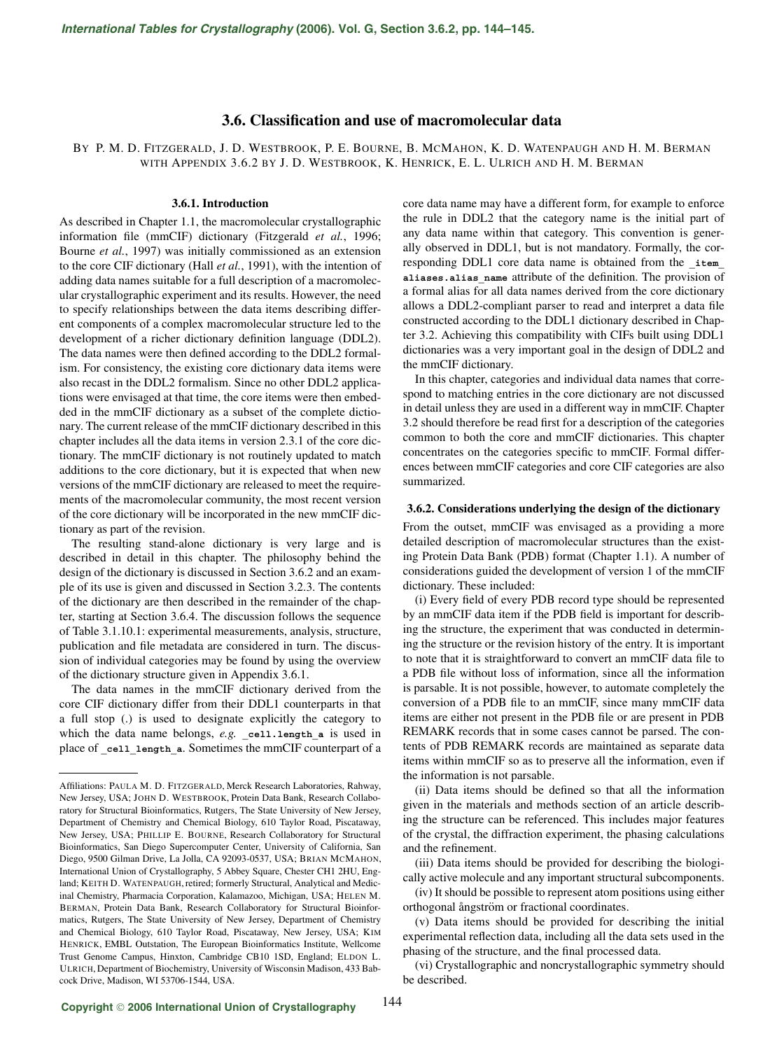## **3.6. Classification and use of macromolecular data**

BY P. M. D. FITZGERALD, J. D. WESTBROOK, P. E. BOURNE, B. MCMAHON, K. D. WATENPAUGH AND H. M. BERMAN WITH APPENDIX 3.6.2 BY J. D. WESTBROOK, K. HENRICK, E. L. ULRICH AND H. M. BERMAN

## **3.6.1. Introduction**

As described in Chapter 1.1, the macromolecular crystallographic information file (mmCIF) dictionary (Fitzgerald *et al.*, 1996; Bourne *et al.*, 1997) was initially commissioned as an extension to the core CIF dictionary (Hall *et al.*, 1991), with the intention of adding data names suitable for a full description of a macromolecular crystallographic experiment and its results. However, the need to specify relationships between the data items describing different components of a complex macromolecular structure led to the development of a richer dictionary definition language (DDL2). The data names were then defined according to the DDL2 formalism. For consistency, the existing core dictionary data items were also recast in the DDL2 formalism. Since no other DDL2 applications were envisaged at that time, the core items were then embedded in the mmCIF dictionary as a subset of the complete dictionary. The current release of the mmCIF dictionary described in this chapter includes all the data items in version 2.3.1 of the core dictionary. The mmCIF dictionary is not routinely updated to match additions to the core dictionary, but it is expected that when new versions of the mmCIF dictionary are released to meet the requirements of the macromolecular community, the most recent version of the core dictionary will be incorporated in the new mmCIF dictionary as part of the revision.

The resulting stand-alone dictionary is very large and is described in detail in this chapter. The philosophy behind the design of the dictionary is discussed in Section 3.6.2 and an example of its use is given and discussed in Section 3.2.3. The contents of the dictionary are then described in the remainder of the chapter, starting at Section 3.6.4. The discussion follows the sequence of Table 3.1.10.1: experimental measurements, analysis, structure, publication and file metadata are considered in turn. The discussion of individual categories may be found by using the overview of the dictionary structure given in Appendix 3.6.1.

The data names in the mmCIF dictionary derived from the core CIF dictionary differ from their DDL1 counterparts in that a full stop (.) is used to designate explicitly the category to which the data name belongs, *e.g.* cell.length a is used in place of cell length a. Sometimes the mmCIF counterpart of a

core data name may have a different form, for example to enforce the rule in DDL2 that the category name is the initial part of any data name within that category. This convention is generally observed in DDL1, but is not mandatory. Formally, the corresponding DDL1 core data name is obtained from the item **aliases.alias\_name** attribute of the definition. The provision of a formal alias for all data names derived from the core dictionary allows a DDL2-compliant parser to read and interpret a data file constructed according to the DDL1 dictionary described in Chapter 3.2. Achieving this compatibility with CIFs built using DDL1 dictionaries was a very important goal in the design of DDL2 and the mmCIF dictionary.

In this chapter, categories and individual data names that correspond to matching entries in the core dictionary are not discussed in detail unless they are used in a different way in mmCIF. Chapter 3.2 should therefore be read first for a description of the categories common to both the core and mmCIF dictionaries. This chapter concentrates on the categories specific to mmCIF. Formal differences between mmCIF categories and core CIF categories are also summarized.

## **3.6.2. Considerations underlying the design of the dictionary**

From the outset, mmCIF was envisaged as a providing a more detailed description of macromolecular structures than the existing Protein Data Bank (PDB) format (Chapter 1.1). A number of considerations guided the development of version 1 of the mmCIF dictionary. These included:

(i) Every field of every PDB record type should be represented by an mmCIF data item if the PDB field is important for describing the structure, the experiment that was conducted in determining the structure or the revision history of the entry. It is important to note that it is straightforward to convert an mmCIF data file to a PDB file without loss of information, since all the information is parsable. It is not possible, however, to automate completely the conversion of a PDB file to an mmCIF, since many mmCIF data items are either not present in the PDB file or are present in PDB REMARK records that in some cases cannot be parsed. The contents of PDB REMARK records are maintained as separate data items within mmCIF so as to preserve all the information, even if the information is not parsable.

(ii) Data items should be defined so that all the information given in the materials and methods section of an article describing the structure can be referenced. This includes major features of the crystal, the diffraction experiment, the phasing calculations and the refinement.

(iii) Data items should be provided for describing the biologically active molecule and any important structural subcomponents.

(vi) Crystallographic and noncrystallographic symmetry should be described.

Affiliations: PAULA M. D. FITZGERALD, Merck Research Laboratories, Rahway, New Jersey, USA; JOHN D. WESTBROOK, Protein Data Bank, Research Collaboratory for Structural Bioinformatics, Rutgers, The State University of New Jersey, Department of Chemistry and Chemical Biology, 610 Taylor Road, Piscataway, New Jersey, USA; PHILLIP E. BOURNE, Research Collaboratory for Structural Bioinformatics, San Diego Supercomputer Center, University of California, San Diego, 9500 Gilman Drive, La Jolla, CA 92093-0537, USA; BRIAN MCMAHON, International Union of Crystallography, 5 Abbey Square, Chester CH1 2HU, England; KEITH D. WATENPAUGH, retired; formerly Structural, Analytical and Medicinal Chemistry, Pharmacia Corporation, Kalamazoo, Michigan, USA; HELEN M. BERMAN, Protein Data Bank, Research Collaboratory for Structural Bioinformatics, Rutgers, The State University of New Jersey, Department of Chemistry and Chemical Biology, 610 Taylor Road, Piscataway, New Jersey, USA; KIM HENRICK, EMBL Outstation, The European Bioinformatics Institute, Wellcome Trust Genome Campus, Hinxton, Cambridge CB10 1SD, England; ELDON L. ULRICH, Department of Biochemistry, University of Wisconsin Madison, 433 Babcock Drive, Madison, WI 53706-1544, USA.

<sup>(</sup>iv) It should be possible to represent atom positions using either orthogonal ångström or fractional coordinates.

<sup>(</sup>v) Data items should be provided for describing the initial experimental reflection data, including all the data sets used in the phasing of the structure, and the final processed data.